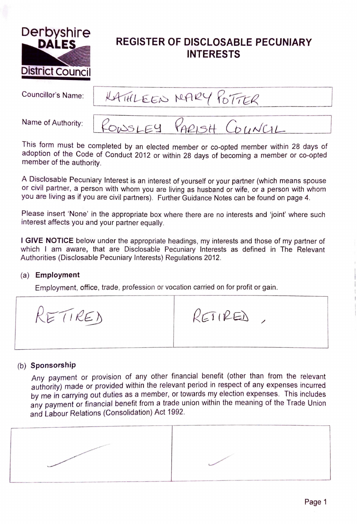

# **REGISTER OF DISCLOSABLE PECUNIARY INTERESTS**

Councillor's Name:

RATHLEEN NARY POTTER

Name of Authority:



This form must be completed by an elected member or co-opted member within 28 days of adoption of the Code of Conduct 2012 or within 28 days of becoming a member or co-opted member of the authority.

A Disclosable Pecuniary Interest is an interest of yourself or your partner (which means spouse or civil partner, a person with whom you are living as husband or wife, or a person with whom you are living as if you are civil partners). Further Guidance Notes can be found on page 4.

Please insert 'None' in the appropriate box where there are no interests and 'joint' where such interest affects you and your partner equally.

I **GIVE NOTICE** below under the appropriate headings, my interests and those of my partner of which I am aware, that are Disclosable Pecuniary Interests as defined in The Relevant Authorities (Disclosable Pecuniary Interests) Regulations 2012.

## (a) **Employment**

Employment, office, trade, profession or vocation carried on for profit or gain.

RETIRED RETIRED,

# (b) **Sponsorship**

Any payment or provision of any other financial benefit (other than from the relevant authority) made or provided within the relevant period in respect of any expenses incurred by me in carrying out duties as a member, or towards my election expenses. This includes any payment or financial benefit from a trade union within the meaning of the Trade Union and Labour Relations (Consolidation) Act 1992.

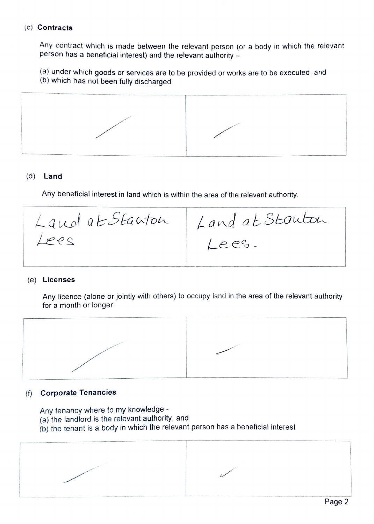#### (c) **Contracts**

Any contract which is made between the relevant person (or a body in which the relevant person has a beneficial interest) and the relevant authority -

(a) under which goods or services are to be provided or works are to be executed , and

(b) which has not been fully discharged



# (d) **Land**

Any beneficial interest in land which is within the area of the relevant authority.

 $L$  and a t Starton | Lees  $L$  and at Stauton Lees.

## (e) **Licenses**

Any licence (alone or jointly with others) to occupy land in the area of the relevant authority for a month or longer.



## (f) **Corporate Tenancies**

Any tenancy where to my knowledge -

- (a) the landlord is the relevant authority, and
- (b) the tenant is a body in which the relevant person has a beneficial interest